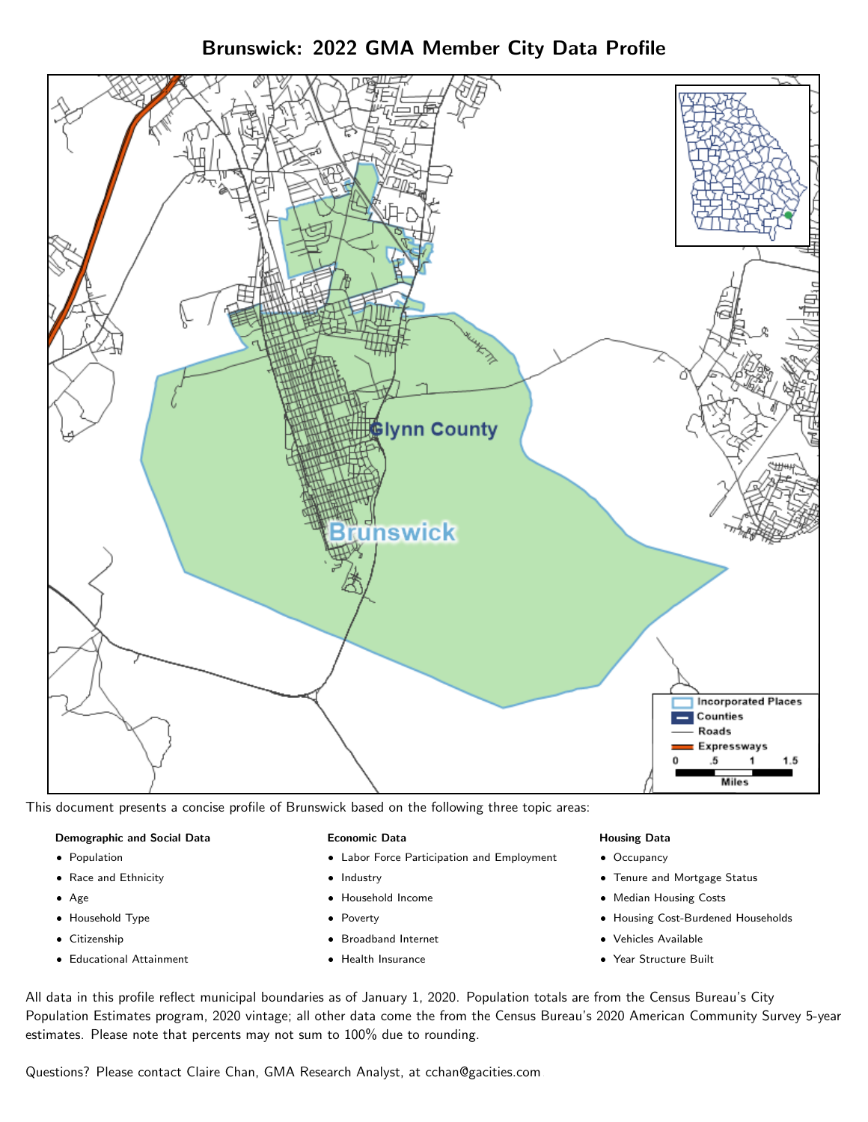Brunswick: 2022 GMA Member City Data Profile



This document presents a concise profile of Brunswick based on the following three topic areas:

#### Demographic and Social Data

- **•** Population
- Race and Ethnicity
- Age
- Household Type
- **Citizenship**
- Educational Attainment

#### Economic Data

- Labor Force Participation and Employment
- Industry
- Household Income
- Poverty
- Broadband Internet
- Health Insurance

#### Housing Data

- Occupancy
- Tenure and Mortgage Status
- Median Housing Costs
- Housing Cost-Burdened Households
- Vehicles Available
- Year Structure Built

All data in this profile reflect municipal boundaries as of January 1, 2020. Population totals are from the Census Bureau's City Population Estimates program, 2020 vintage; all other data come the from the Census Bureau's 2020 American Community Survey 5-year estimates. Please note that percents may not sum to 100% due to rounding.

Questions? Please contact Claire Chan, GMA Research Analyst, at [cchan@gacities.com.](mailto:cchan@gacities.com)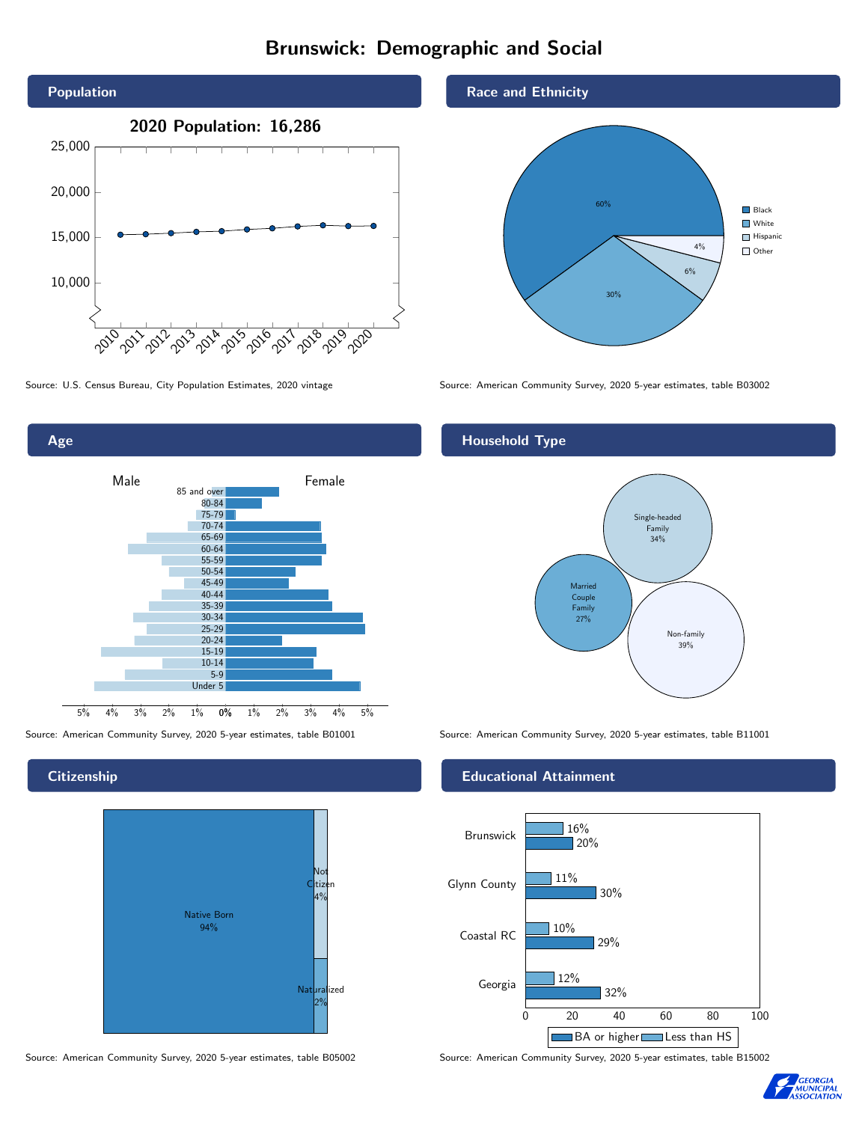# Brunswick: Demographic and Social





**Citizenship** 



Source: American Community Survey, 2020 5-year estimates, table B05002 Source: American Community Survey, 2020 5-year estimates, table B15002





Source: U.S. Census Bureau, City Population Estimates, 2020 vintage Source: American Community Survey, 2020 5-year estimates, table B03002

## Household Type



Source: American Community Survey, 2020 5-year estimates, table B01001 Source: American Community Survey, 2020 5-year estimates, table B11001

### Educational Attainment



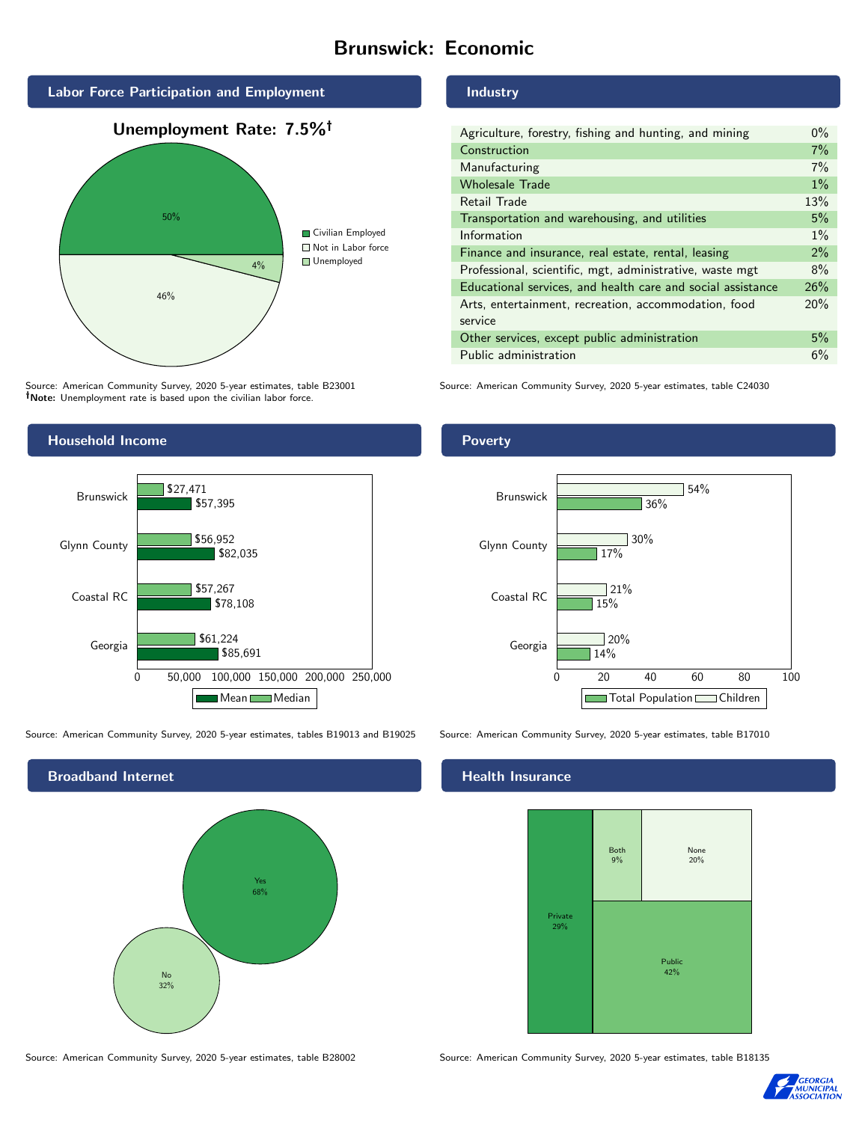# Brunswick: Economic



Source: American Community Survey, 2020 5-year estimates, table B23001 Note: Unemployment rate is based upon the civilian labor force.

## Industry

| Agriculture, forestry, fishing and hunting, and mining      | $0\%$ |
|-------------------------------------------------------------|-------|
| Construction                                                | 7%    |
| Manufacturing                                               | 7%    |
| <b>Wholesale Trade</b>                                      | $1\%$ |
| Retail Trade                                                | 13%   |
| Transportation and warehousing, and utilities               | 5%    |
| Information                                                 | $1\%$ |
| Finance and insurance, real estate, rental, leasing         | 2%    |
| Professional, scientific, mgt, administrative, waste mgt    | 8%    |
| Educational services, and health care and social assistance | 26%   |
| Arts, entertainment, recreation, accommodation, food        | 20%   |
| service                                                     |       |
| Other services, except public administration                | 5%    |
| Public administration                                       | 6%    |

Source: American Community Survey, 2020 5-year estimates, table C24030



Source: American Community Survey, 2020 5-year estimates, tables B19013 and B19025 Source: American Community Survey, 2020 5-year estimates, table B17010



Source: American Community Survey, 2020 5-year estimates, table B28002 Source: American Community Survey, 2020 5-year estimates, table B18135

Poverty



## **Health Insurance**